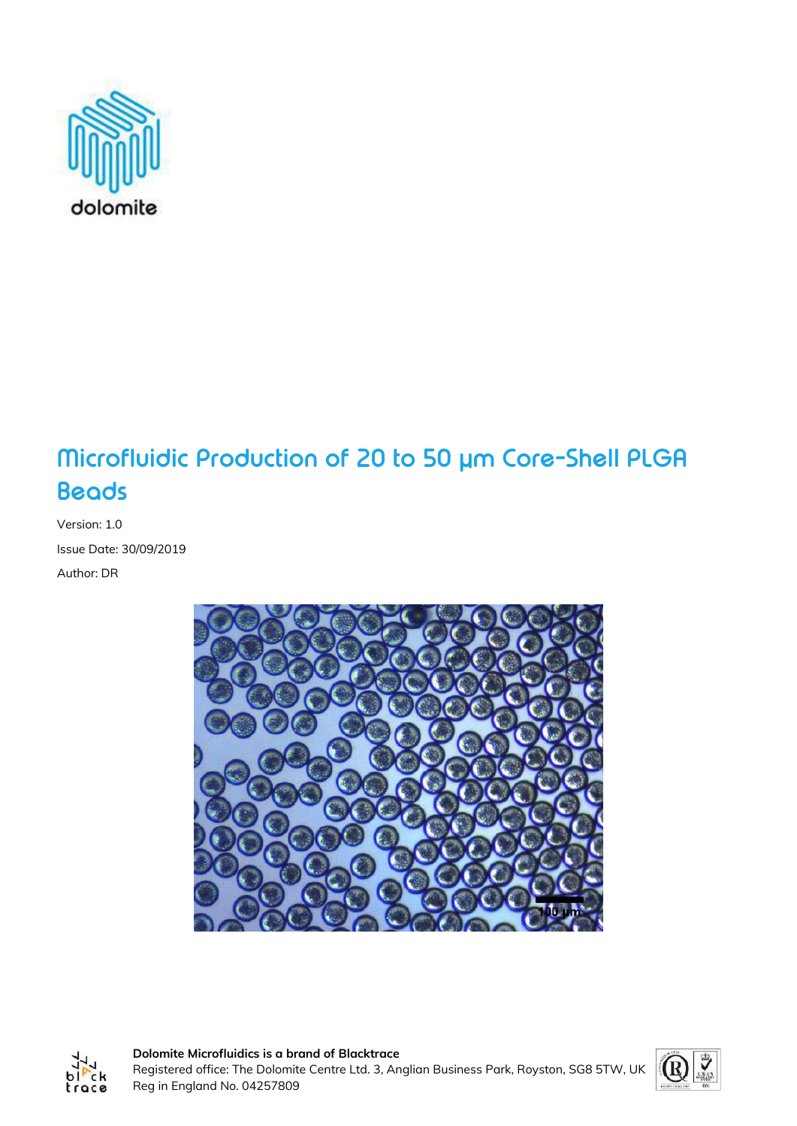

# **Microfluidic Production of 20 to 50 µm Core-Shell PLGA Beads**

Version: 1.0 Issue Date: 30/09/2019 Author: DR





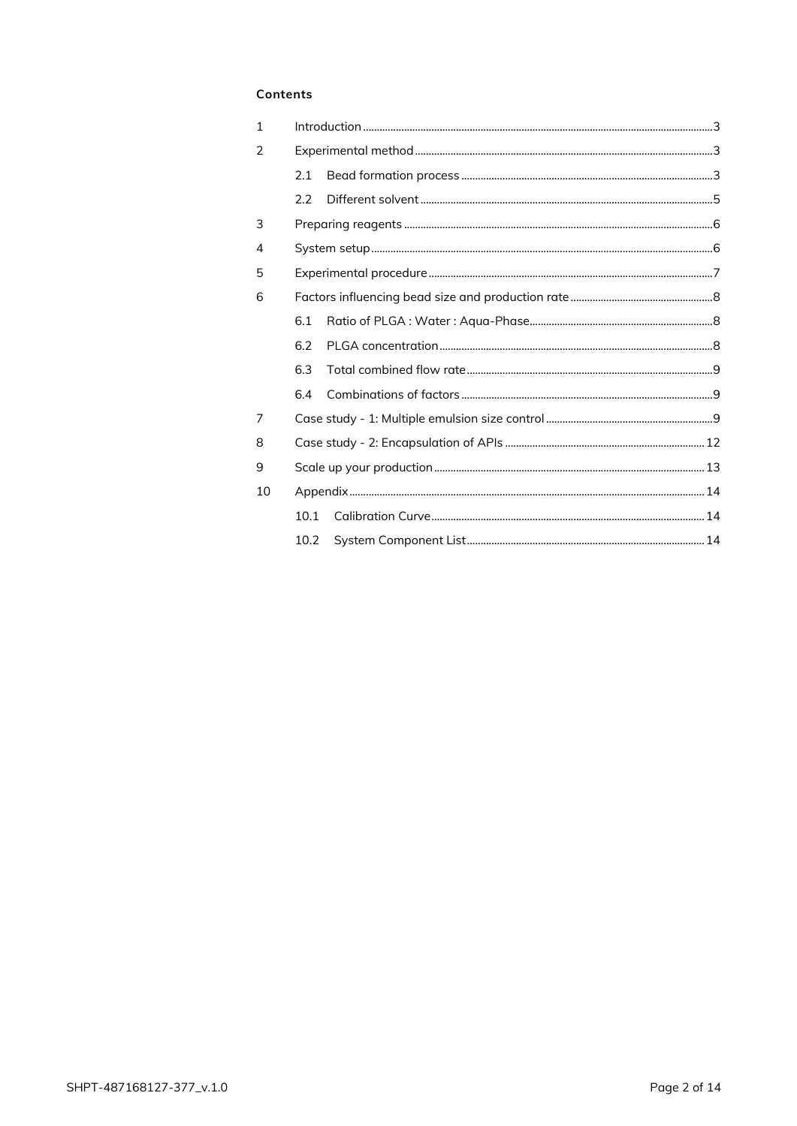#### Contents

| 2.1  |  |  |  |  |  |
|------|--|--|--|--|--|
| 2.2  |  |  |  |  |  |
|      |  |  |  |  |  |
|      |  |  |  |  |  |
|      |  |  |  |  |  |
| 6    |  |  |  |  |  |
| 6.1  |  |  |  |  |  |
| 6.2  |  |  |  |  |  |
| 63   |  |  |  |  |  |
| 6.4  |  |  |  |  |  |
|      |  |  |  |  |  |
|      |  |  |  |  |  |
|      |  |  |  |  |  |
|      |  |  |  |  |  |
| 10.1 |  |  |  |  |  |
|      |  |  |  |  |  |
|      |  |  |  |  |  |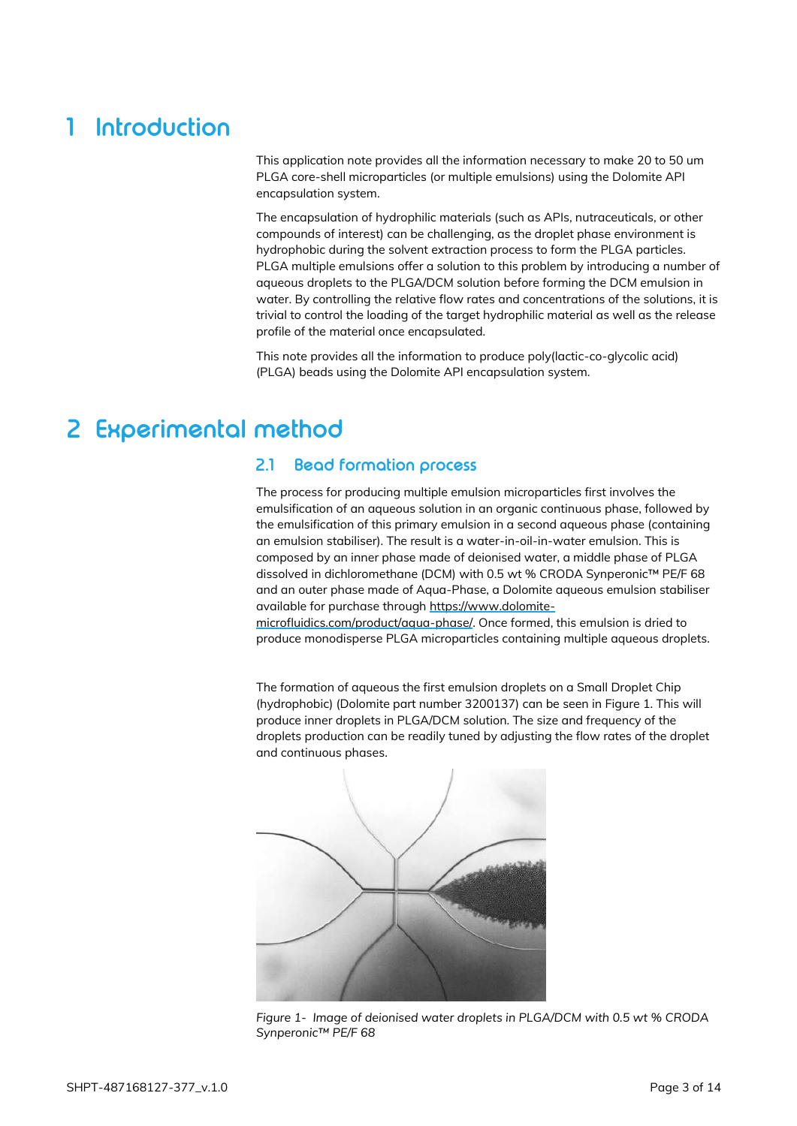# <span id="page-2-0"></span>**1 Introduction**

This application note provides all the information necessary to make 20 to 50 um PLGA core-shell microparticles (or multiple emulsions) using the Dolomite API encapsulation system.

The encapsulation of hydrophilic materials (such as APIs, nutraceuticals, or other compounds of interest) can be challenging, as the droplet phase environment is hydrophobic during the solvent extraction process to form the PLGA particles. PLGA multiple emulsions offer a solution to this problem by introducing a number of aqueous droplets to the PLGA/DCM solution before forming the DCM emulsion in water. By controlling the relative flow rates and concentrations of the solutions, it is trivial to control the loading of the target hydrophilic material as well as the release profile of the material once encapsulated.

This note provides all the information to produce poly(lactic-co-glycolic acid) (PLGA) beads using the Dolomite API encapsulation system.

# <span id="page-2-2"></span><span id="page-2-1"></span>**2 Experimental method**

### **2.1 Bead formation process**

The process for producing multiple emulsion microparticles first involves the emulsification of an aqueous solution in an organic continuous phase, followed by the emulsification of this primary emulsion in a second aqueous phase (containing an emulsion stabiliser). The result is a water-in-oil-in-water emulsion. This is composed by an inner phase made of deionised water, a middle phase of PLGA dissolved in dichloromethane (DCM) with 0.5 wt % CRODA Synperonic™ PE/F 68 and an outer phase made of Aqua-Phase, a Dolomite aqueous emulsion stabiliser available for purchase through [https://www.dolomite-](https://www.dolomite-microfluidics.com/product/aqua-phase/)

[microfluidics.com/product/aqua-phase/.](https://www.dolomite-microfluidics.com/product/aqua-phase/) Once formed, this emulsion is dried to produce monodisperse PLGA microparticles containing multiple aqueous droplets.

The formation of aqueous the first emulsion droplets on a Small Droplet Chip (hydrophobic) (Dolomite part number 3200137) can be seen in Figure 1. This will produce inner droplets in PLGA/DCM solution. The size and frequency of the droplets production can be readily tuned by adjusting the flow rates of the droplet and continuous phases.



*Figure 1- Image of deionised water droplets in PLGA/DCM with 0.5 wt % CRODA Synperonic™ PE/F 68*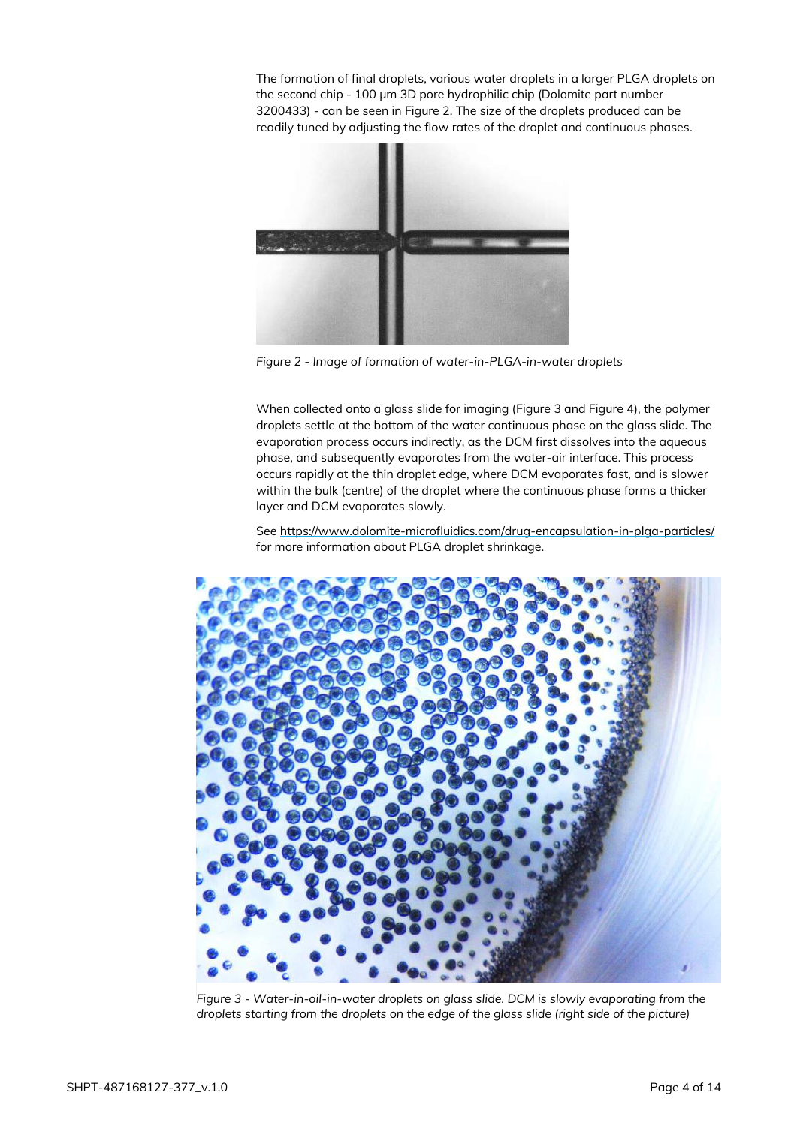The formation of final droplets, various water droplets in a larger PLGA droplets on the second chip - 100 µm 3D pore hydrophilic chip (Dolomite part number 3200433) - can be seen in Figure 2. The size of the droplets produced can be readily tuned by adjusting the flow rates of the droplet and continuous phases.



*Figure 2 - Image of formation of water-in-PLGA-in-water droplets*

When collected onto a glass slide for imaging [\(Figure 3](#page-3-0) and [Figure 4\)](#page-4-1), the polymer droplets settle at the bottom of the water continuous phase on the glass slide. The evaporation process occurs indirectly, as the DCM first dissolves into the aqueous phase, and subsequently evaporates from the water-air interface. This process occurs rapidly at the thin droplet edge, where DCM evaporates fast, and is slower within the bulk (centre) of the droplet where the continuous phase forms a thicker layer and DCM evaporates slowly.

See<https://www.dolomite-microfluidics.com/drug-encapsulation-in-plga-particles/> for more information about PLGA droplet shrinkage.

<span id="page-3-0"></span>

*Figure 3 - Water-in-oil-in-water droplets on glass slide. DCM is slowly evaporating from the droplets starting from the droplets on the edge of the glass slide (right side of the picture)*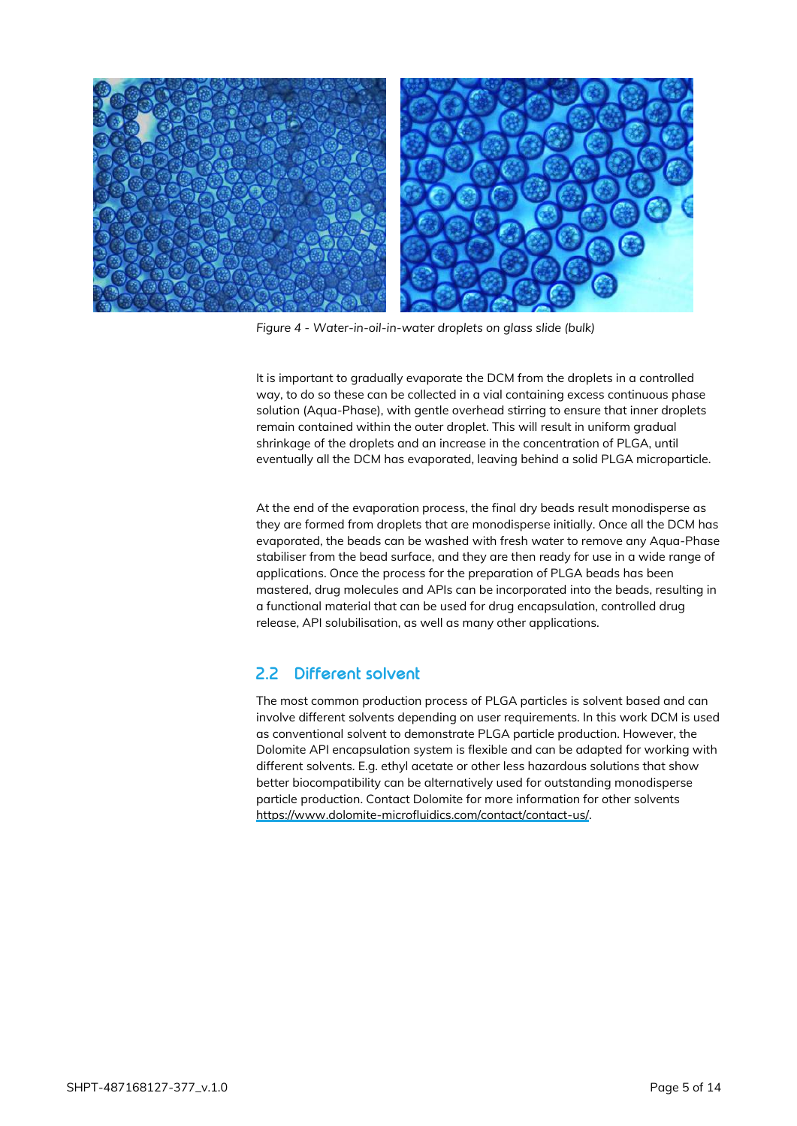

*Figure 4 - Water-in-oil-in-water droplets on glass slide (bulk)*

<span id="page-4-1"></span>It is important to gradually evaporate the DCM from the droplets in a controlled way, to do so these can be collected in a vial containing excess continuous phase solution (Aqua-Phase), with gentle overhead stirring to ensure that inner droplets remain contained within the outer droplet. This will result in uniform gradual shrinkage of the droplets and an increase in the concentration of PLGA, until eventually all the DCM has evaporated, leaving behind a solid PLGA microparticle.

At the end of the evaporation process, the final dry beads result monodisperse as they are formed from droplets that are monodisperse initially. Once all the DCM has evaporated, the beads can be washed with fresh water to remove any Aqua-Phase stabiliser from the bead surface, and they are then ready for use in a wide range of applications. Once the process for the preparation of PLGA beads has been mastered, drug molecules and APIs can be incorporated into the beads, resulting in a functional material that can be used for drug encapsulation, controlled drug release, API solubilisation, as well as many other applications.

### <span id="page-4-0"></span>**2.2 Different solvent**

The most common production process of PLGA particles is solvent based and can involve different solvents depending on user requirements. In this work DCM is used as conventional solvent to demonstrate PLGA particle production. However, the Dolomite API encapsulation system is flexible and can be adapted for working with different solvents. E.g. ethyl acetate or other less hazardous solutions that show better biocompatibility can be alternatively used for outstanding monodisperse particle production. Contact Dolomite for more information for other solvents [https://www.dolomite-microfluidics.com/contact/contact-us/.](https://www.dolomite-microfluidics.com/contact/contact-us/)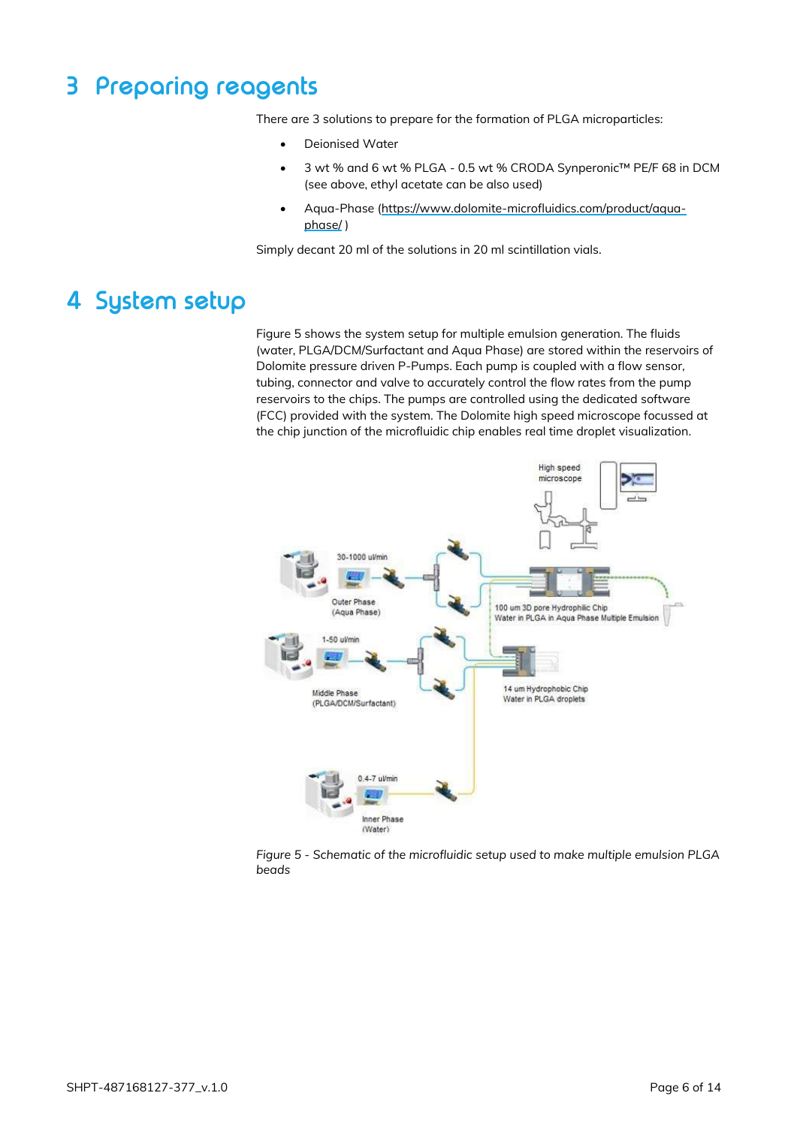# <span id="page-5-0"></span>**3 Preparing reagents**

There are 3 solutions to prepare for the formation of PLGA microparticles:

- Deionised Water
- 3 wt % and 6 wt % PLGA 0.5 wt % CRODA Synperonic™ PE/F 68 in DCM (see above, ethyl acetate can be also used)
- Aqua-Phase [\(https://www.dolomite-microfluidics.com/product/aqua](https://www.dolomite-microfluidics.com/product/aqua-phase/)[phase/](https://www.dolomite-microfluidics.com/product/aqua-phase/) )

Simply decant 20 ml of the solutions in 20 ml scintillation vials.

# <span id="page-5-1"></span>**4 System setup**

[Figure 5](#page-5-2) shows the system setup for multiple emulsion generation. The fluids (water, PLGA/DCM/Surfactant and Aqua Phase) are stored within the reservoirs of Dolomite pressure driven P-Pumps. Each pump is coupled with a flow sensor, tubing, connector and valve to accurately control the flow rates from the pump reservoirs to the chips. The pumps are controlled using the dedicated software (FCC) provided with the system. The Dolomite high speed microscope focussed at the chip junction of the microfluidic chip enables real time droplet visualization.



<span id="page-5-2"></span>*Figure 5 - Schematic of the microfluidic setup used to make multiple emulsion PLGA beads*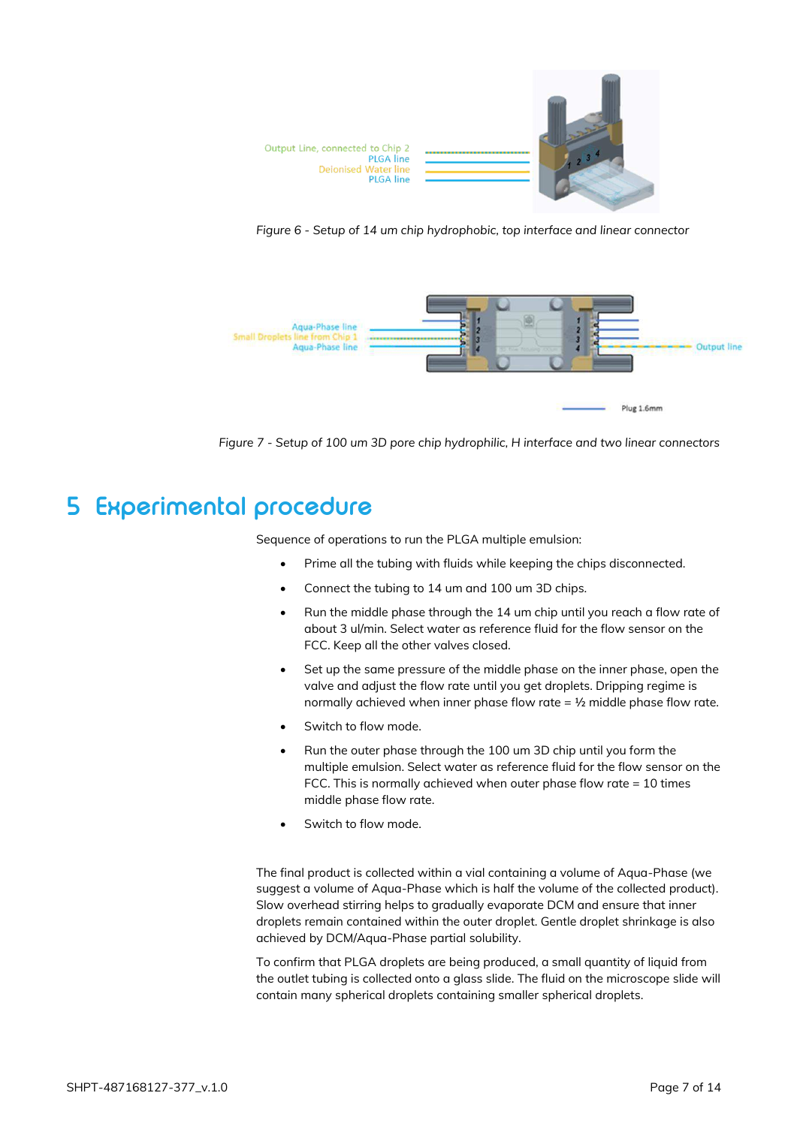

*Figure 6 - Setup of 14 um chip hydrophobic, top interface and linear connector*



*Figure 7 - Setup of 100 um 3D pore chip hydrophilic, H interface and two linear connectors*

### <span id="page-6-0"></span>**5 Experimental procedure**

Sequence of operations to run the PLGA multiple emulsion:

- Prime all the tubing with fluids while keeping the chips disconnected.
- Connect the tubing to 14 um and 100 um 3D chips.
- Run the middle phase through the 14 um chip until you reach a flow rate of about 3 ul/min. Select water as reference fluid for the flow sensor on the FCC. Keep all the other valves closed.
- Set up the same pressure of the middle phase on the inner phase, open the valve and adjust the flow rate until you get droplets. Dripping regime is normally achieved when inner phase flow rate =  $\frac{1}{2}$  middle phase flow rate.
- Switch to flow mode.
- Run the outer phase through the 100 um 3D chip until you form the multiple emulsion. Select water as reference fluid for the flow sensor on the FCC. This is normally achieved when outer phase flow rate = 10 times middle phase flow rate.
- Switch to flow mode.

The final product is collected within a vial containing a volume of Aqua-Phase (we suggest a volume of Aqua-Phase which is half the volume of the collected product). Slow overhead stirring helps to gradually evaporate DCM and ensure that inner droplets remain contained within the outer droplet. Gentle droplet shrinkage is also achieved by DCM/Aqua-Phase partial solubility.

To confirm that PLGA droplets are being produced, a small quantity of liquid from the outlet tubing is collected onto a glass slide. The fluid on the microscope slide will contain many spherical droplets containing smaller spherical droplets.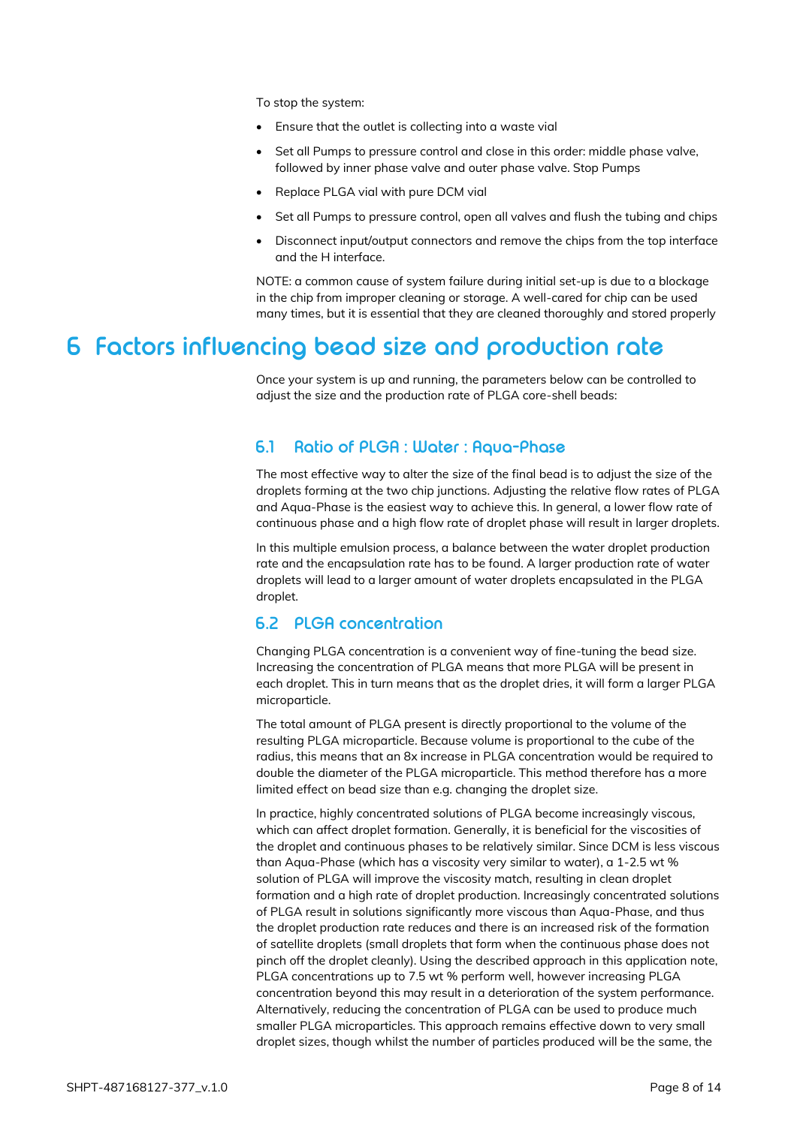To stop the system:

- Ensure that the outlet is collecting into a waste vial
- Set all Pumps to pressure control and close in this order: middle phase valve, followed by inner phase valve and outer phase valve. Stop Pumps
- Replace PLGA vial with pure DCM vial
- Set all Pumps to pressure control, open all valves and flush the tubing and chips
- Disconnect input/output connectors and remove the chips from the top interface and the H interface.

NOTE: a common cause of system failure during initial set-up is due to a blockage in the chip from improper cleaning or storage. A well-cared for chip can be used many times, but it is essential that they are cleaned thoroughly and stored properly

### <span id="page-7-1"></span><span id="page-7-0"></span>**6 Factors influencing bead size and production rate**

Once your system is up and running, the parameters below can be controlled to adjust the size and the production rate of PLGA core-shell beads:

#### **6.1 Ratio of PLGA : Water : Aqua-Phase**

The most effective way to alter the size of the final bead is to adjust the size of the droplets forming at the two chip junctions. Adjusting the relative flow rates of PLGA and Aqua-Phase is the easiest way to achieve this. In general, a lower flow rate of continuous phase and a high flow rate of droplet phase will result in larger droplets.

In this multiple emulsion process, a balance between the water droplet production rate and the encapsulation rate has to be found. A larger production rate of water droplets will lead to a larger amount of water droplets encapsulated in the PLGA droplet.

### <span id="page-7-2"></span>**6.2 PLGA concentration**

Changing PLGA concentration is a convenient way of fine-tuning the bead size. Increasing the concentration of PLGA means that more PLGA will be present in each droplet. This in turn means that as the droplet dries, it will form a larger PLGA microparticle.

The total amount of PLGA present is directly proportional to the volume of the resulting PLGA microparticle. Because volume is proportional to the cube of the radius, this means that an 8x increase in PLGA concentration would be required to double the diameter of the PLGA microparticle. This method therefore has a more limited effect on bead size than e.g. changing the droplet size.

In practice, highly concentrated solutions of PLGA become increasingly viscous, which can affect droplet formation. Generally, it is beneficial for the viscosities of the droplet and continuous phases to be relatively similar. Since DCM is less viscous than Aqua-Phase (which has a viscosity very similar to water), a 1-2.5 wt % solution of PLGA will improve the viscosity match, resulting in clean droplet formation and a high rate of droplet production. Increasingly concentrated solutions of PLGA result in solutions significantly more viscous than Aqua-Phase, and thus the droplet production rate reduces and there is an increased risk of the formation of satellite droplets (small droplets that form when the continuous phase does not pinch off the droplet cleanly). Using the described approach in this application note, PLGA concentrations up to 7.5 wt % perform well, however increasing PLGA concentration beyond this may result in a deterioration of the system performance. Alternatively, reducing the concentration of PLGA can be used to produce much smaller PLGA microparticles. This approach remains effective down to very small droplet sizes, though whilst the number of particles produced will be the same, the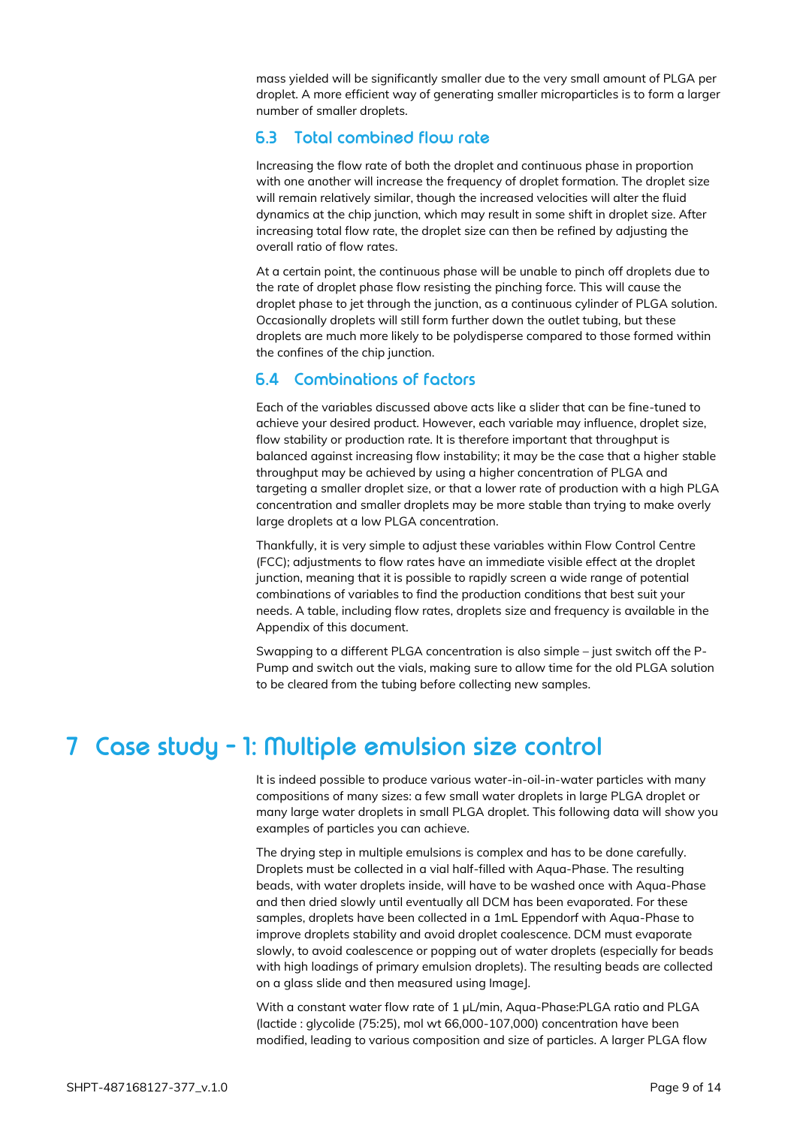mass yielded will be significantly smaller due to the very small amount of PLGA per droplet. A more efficient way of generating smaller microparticles is to form a larger number of smaller droplets.

### <span id="page-8-0"></span>**6.3 Total combined flow rate**

Increasing the flow rate of both the droplet and continuous phase in proportion with one another will increase the frequency of droplet formation. The droplet size will remain relatively similar, though the increased velocities will alter the fluid dynamics at the chip junction, which may result in some shift in droplet size. After increasing total flow rate, the droplet size can then be refined by adjusting the overall ratio of flow rates.

At a certain point, the continuous phase will be unable to pinch off droplets due to the rate of droplet phase flow resisting the pinching force. This will cause the droplet phase to jet through the junction, as a continuous cylinder of PLGA solution. Occasionally droplets will still form further down the outlet tubing, but these droplets are much more likely to be polydisperse compared to those formed within the confines of the chip junction.

### <span id="page-8-1"></span>**6.4 Combinations of factors**

Each of the variables discussed above acts like a slider that can be fine-tuned to achieve your desired product. However, each variable may influence, droplet size, flow stability or production rate. It is therefore important that throughput is balanced against increasing flow instability; it may be the case that a higher stable throughput may be achieved by using a higher concentration of PLGA and targeting a smaller droplet size, or that a lower rate of production with a high PLGA concentration and smaller droplets may be more stable than trying to make overly large droplets at a low PLGA concentration.

Thankfully, it is very simple to adjust these variables within Flow Control Centre (FCC); adjustments to flow rates have an immediate visible effect at the droplet junction, meaning that it is possible to rapidly screen a wide range of potential combinations of variables to find the production conditions that best suit your needs. A table, including flow rates, droplets size and frequency is available in the Appendix of this document.

Swapping to a different PLGA concentration is also simple – just switch off the P-Pump and switch out the vials, making sure to allow time for the old PLGA solution to be cleared from the tubing before collecting new samples.

## <span id="page-8-2"></span>**7 Case study - 1: Multiple emulsion size control**

It is indeed possible to produce various water-in-oil-in-water particles with many compositions of many sizes: a few small water droplets in large PLGA droplet or many large water droplets in small PLGA droplet. This following data will show you examples of particles you can achieve.

The drying step in multiple emulsions is complex and has to be done carefully. Droplets must be collected in a vial half-filled with Aqua-Phase. The resulting beads, with water droplets inside, will have to be washed once with Aqua-Phase and then dried slowly until eventually all DCM has been evaporated. For these samples, droplets have been collected in a 1mL Eppendorf with Aqua-Phase to improve droplets stability and avoid droplet coalescence. DCM must evaporate slowly, to avoid coalescence or popping out of water droplets (especially for beads with high loadings of primary emulsion droplets). The resulting beads are collected on a glass slide and then measured using ImageJ.

With a constant water flow rate of 1 µL/min, Aqua-Phase:PLGA ratio and PLGA (lactide : glycolide (75:25), mol wt 66,000-107,000) concentration have been modified, leading to various composition and size of particles. A larger PLGA flow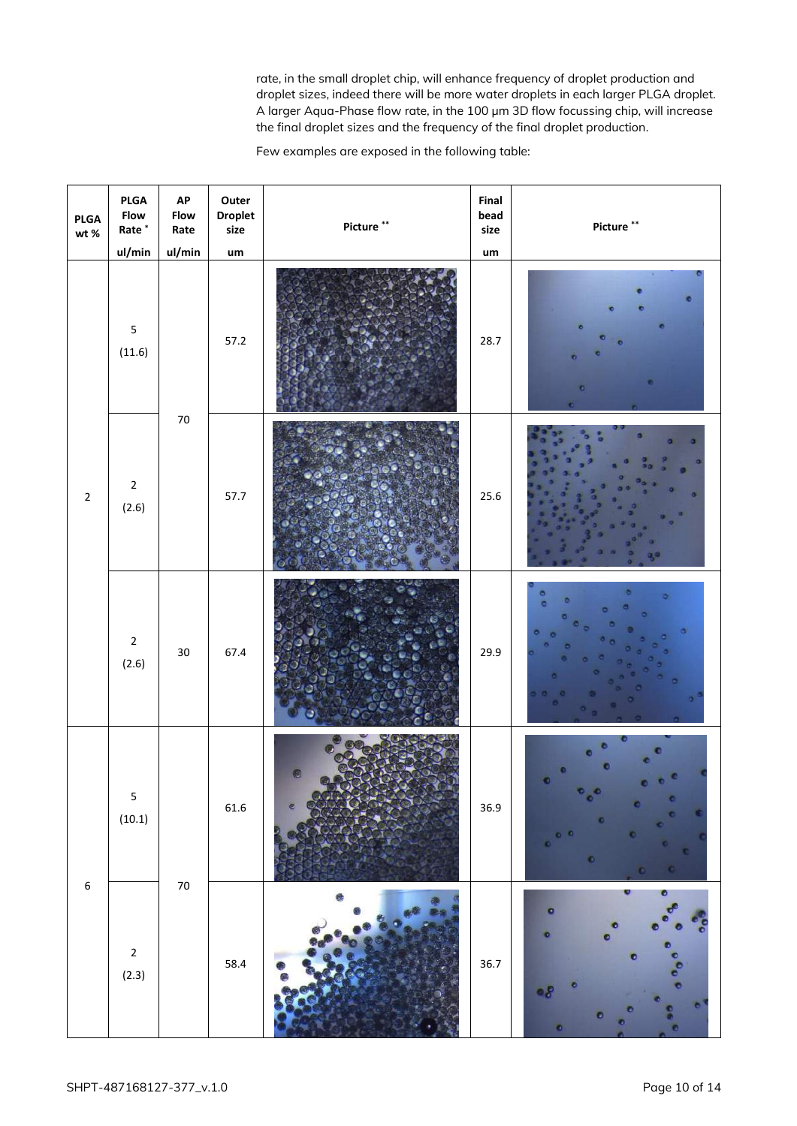rate, in the small droplet chip, will enhance frequency of droplet production and droplet sizes, indeed there will be more water droplets in each larger PLGA droplet. A larger Aqua-Phase flow rate, in the 100 µm 3D flow focussing chip, will increase the final droplet sizes and the frequency of the final droplet production.

Few examples are exposed in the following table:

| <b>PLGA</b><br>$\mathsf{wt}\,\mathscr{\%}$ | PLGA<br>Flow<br>$\mbox{\sf Rate}^*$<br>ul/min | AP<br><b>Flow</b><br>Rate<br>ul/min | Outer<br><b>Droplet</b><br>size<br>um | Picture ** | Final<br>bead<br>size<br>$\mathsf{u}\mathsf{m}$ | Picture **                    |
|--------------------------------------------|-----------------------------------------------|-------------------------------------|---------------------------------------|------------|-------------------------------------------------|-------------------------------|
| $\overline{2}$                             | $\overline{\mathbf{5}}$<br>(11.6)             | $70\,$                              | 57.2                                  |            | 28.7                                            |                               |
|                                            | $\mathbf 2$<br>(2.6)                          |                                     | 57.7                                  |            | 25.6                                            |                               |
|                                            | $\mathbf 2$<br>(2.6)                          | $30\,$                              | 67.4                                  |            | 29.9                                            |                               |
| $\boldsymbol{6}$                           | $\overline{\mathbf{5}}$<br>(10.1)             | $70\,$                              | 61.6                                  |            | 36.9                                            | o<br>о<br>$\bullet$<br>o<br>۰ |
|                                            | $\mathbf 2$<br>(2.3)                          |                                     | 58.4                                  |            | 36.7                                            | ۰<br>۰<br>۰                   |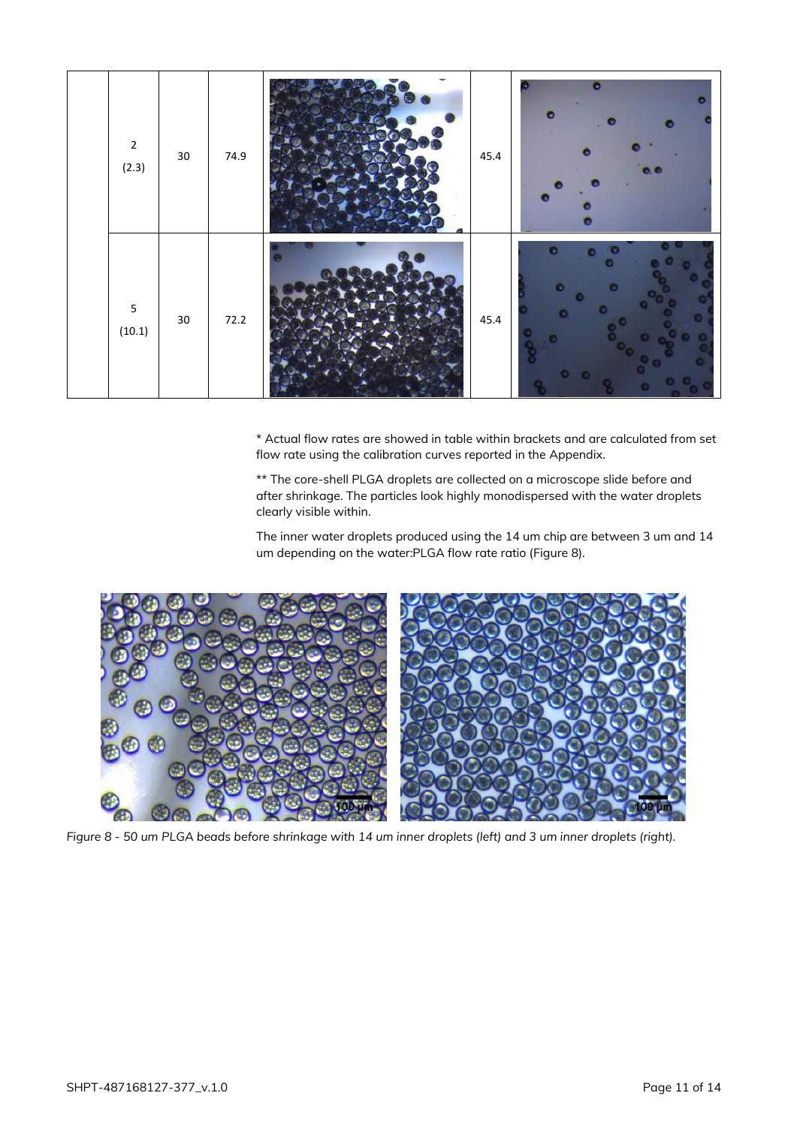

\* Actual flow rates are showed in table within brackets and are calculated from set flow rate using the calibration curves reported in the Appendix.

\*\* The core-shell PLGA droplets are collected on a microscope slide before and after shrinkage. The particles look highly monodispersed with the water droplets clearly visible within.

The inner water droplets produced using the 14 um chip are between 3 um and 14 um depending on the water:PLGA flow rate ratio [\(Figure 8\)](#page-10-0).

<span id="page-10-0"></span>

*Figure 8 - 50 um PLGA beads before shrinkage with 14 um inner droplets (left) and 3 um inner droplets (right).*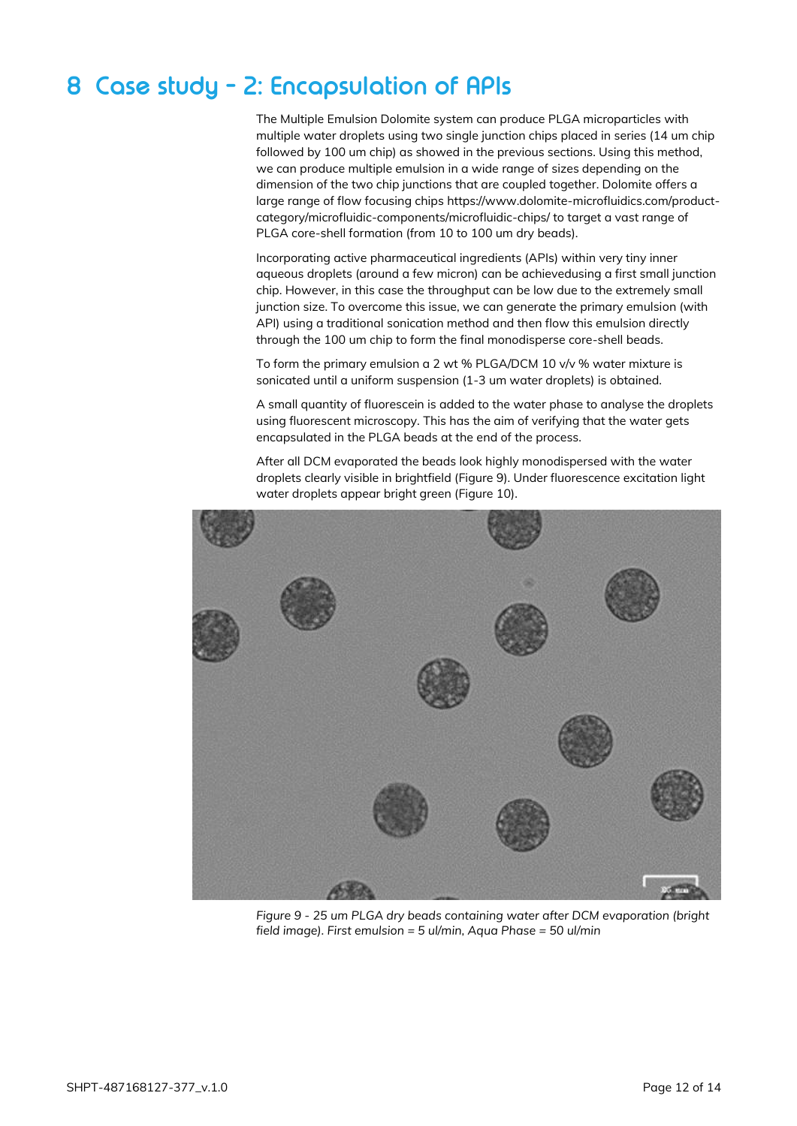# <span id="page-11-0"></span>**8 Case study - 2: Encapsulation of APIs**

The Multiple Emulsion Dolomite system can produce PLGA microparticles with multiple water droplets using two single junction chips placed in series (14 um chip followed by 100 um chip) as showed in the previous sections. Using this method, we can produce multiple emulsion in a wide range of sizes depending on the dimension of the two chip junctions that are coupled together. Dolomite offers a large range of flow focusing chips https://www.dolomite-microfluidics.com/productcategory/microfluidic-components/microfluidic-chips/ to target a vast range of PLGA core-shell formation (from 10 to 100 um dry beads).

Incorporating active pharmaceutical ingredients (APIs) within very tiny inner aqueous droplets (around a few micron) can be achievedusing a first small junction chip. However, in this case the throughput can be low due to the extremely small junction size. To overcome this issue, we can generate the primary emulsion (with API) using a traditional sonication method and then flow this emulsion directly through the 100 um chip to form the final monodisperse core-shell beads.

To form the primary emulsion a 2 wt % PLGA/DCM 10 v/v % water mixture is sonicated until a uniform suspension (1-3 um water droplets) is obtained.

A small quantity of fluorescein is added to the water phase to analyse the droplets using fluorescent microscopy. This has the aim of verifying that the water gets encapsulated in the PLGA beads at the end of the process.

After all DCM evaporated the beads look highly monodispersed with the water droplets clearly visible in brightfield [\(Figure 9\)](#page-11-1). Under fluorescence excitation light water droplets appear bright green [\(Figure 10\)](#page-12-1).

<span id="page-11-1"></span>

*Figure 9 - 25 um PLGA dry beads containing water after DCM evaporation (bright field image). First emulsion = 5 ul/min, Aqua Phase = 50 ul/min*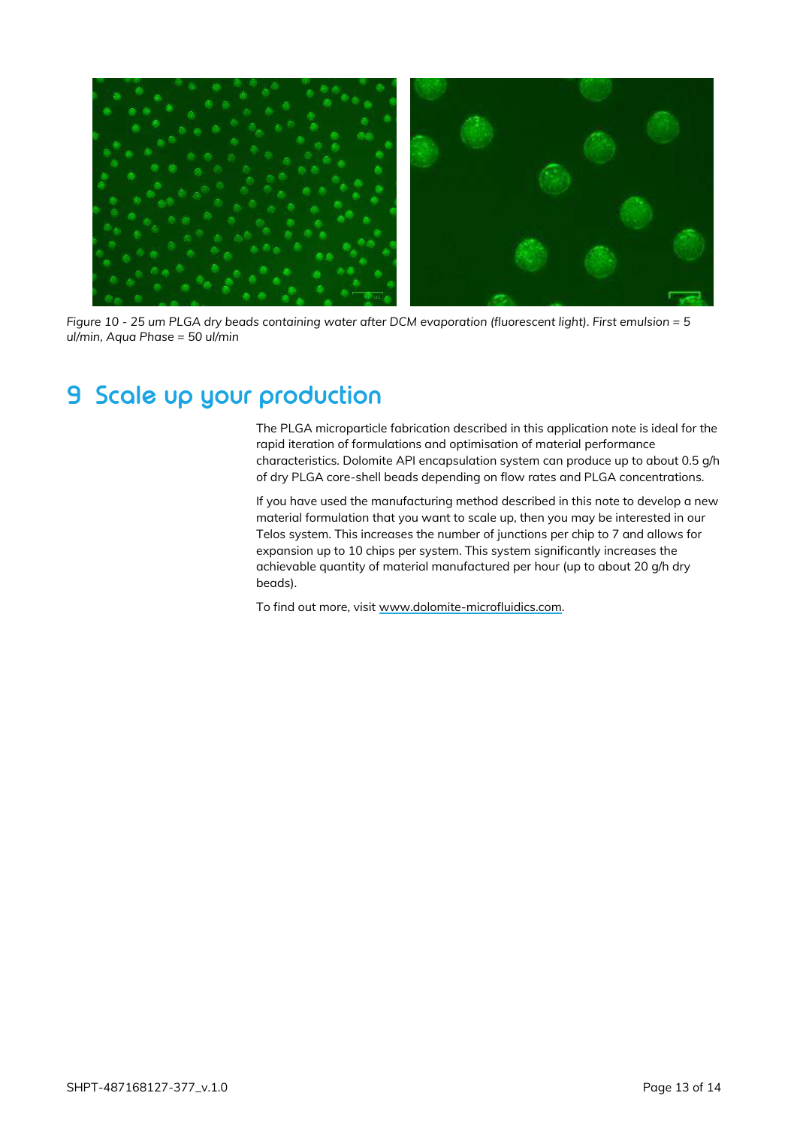

*Figure 10 - 25 um PLGA dry beads containing water after DCM evaporation (fluorescent light). First emulsion = 5 ul/min, Aqua Phase = 50 ul/min*

## <span id="page-12-1"></span><span id="page-12-0"></span>**9 Scale up your production**

The PLGA microparticle fabrication described in this application note is ideal for the rapid iteration of formulations and optimisation of material performance characteristics. Dolomite API encapsulation system can produce up to about 0.5 g/h of dry PLGA core-shell beads depending on flow rates and PLGA concentrations.

If you have used the manufacturing method described in this note to develop a new material formulation that you want to scale up, then you may be interested in our Telos system. This increases the number of junctions per chip to 7 and allows for expansion up to 10 chips per system. This system significantly increases the achievable quantity of material manufactured per hour (up to about 20 g/h dry beads).

To find out more, visit [www.dolomite-microfluidics.com.](http://www.dolomite-microfluidics.com/)